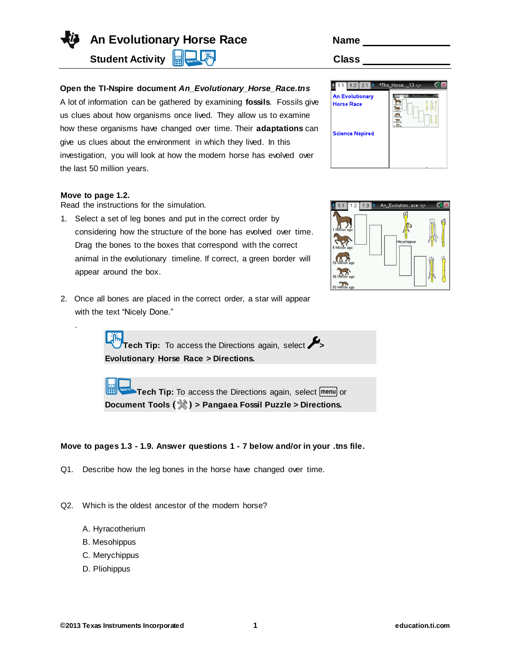

**An Evolutionary Horse Race Name** 

**Student Activity <b>Rights** Li<sup>llin</sup> Class Class

## **Open the TI-Nspire document** *An\_Evolutionary\_Horse\_Race.tns*

A lot of information can be gathered by examining **fossils**. Fossils give us clues about how organisms once lived. They allow us to examine how these organisms have changed over time. Their **adaptations** can give us clues about the environment in which they lived. In this investigation, you will look at how the modern horse has evolved over the last 50 million years.

## **Move to page 1.2.**

.

Read the instructions for the simulation.

- 1. Select a set of leg bones and put in the correct order by considering how the structure of the bone has evolved over time. Drag the bones to the boxes that correspond with the correct animal in the evolutionary timeline. If correct, a green border will appear around the box.
- 2. Once all bones are placed in the correct order, a star will appear with the text "Nicely Done."

**Tech Tip:** To access the Directions again, select  $\mathcal{L}_>$ **Evolutionary Horse Race > Directions.**

**Tech Tip:** To access the Directions again, select menu or **Document Tools ( ) > Pangaea Fossil Puzzle > Directions.**

## **Move to pages 1.3 - 1.9. Answer questions 1 - 7 below and/or in your .tns file.**

- Q1. Describe how the leg bones in the horse have changed over time.
- Q2. Which is the oldest ancestor of the modern horse?
	- A. Hyracotherium
	- B. Mesohippus
	- C. Merychippus
	- D. Pliohippus